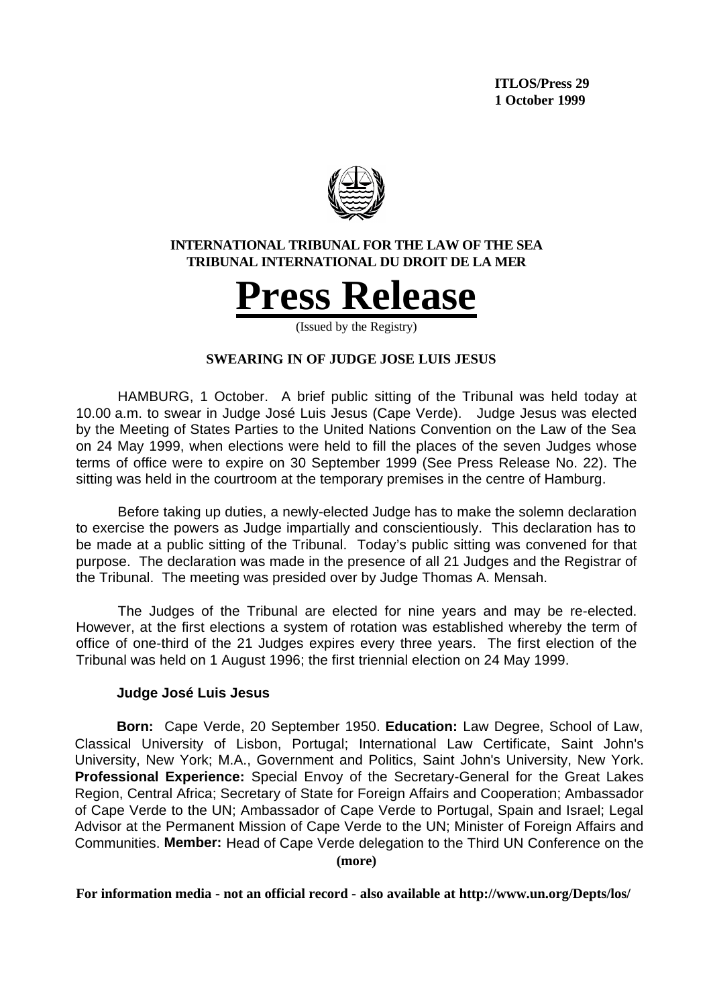

## **INTERNATIONAL TRIBUNAL FOR THE LAW OF THE SEA TRIBUNAL INTERNATIONAL DU DROIT DE LA MER**



(Issued by the Registry)

## **SWEARING IN OF JUDGE JOSE LUIS JESUS**

HAMBURG, 1 October. A brief public sitting of the Tribunal was held today at 10.00 a.m. to swear in Judge José Luis Jesus (Cape Verde). Judge Jesus was elected by the Meeting of States Parties to the United Nations Convention on the Law of the Sea on 24 May 1999, when elections were held to fill the places of the seven Judges whose terms of office were to expire on 30 September 1999 (See Press Release No. 22). The sitting was held in the courtroom at the temporary premises in the centre of Hamburg.

Before taking up duties, a newly-elected Judge has to make the solemn declaration to exercise the powers as Judge impartially and conscientiously. This declaration has to be made at a public sitting of the Tribunal. Today's public sitting was convened for that purpose. The declaration was made in the presence of all 21 Judges and the Registrar of the Tribunal. The meeting was presided over by Judge Thomas A. Mensah.

The Judges of the Tribunal are elected for nine years and may be re-elected. However, at the first elections a system of rotation was established whereby the term of office of one-third of the 21 Judges expires every three years. The first election of the Tribunal was held on 1 August 1996; the first triennial election on 24 May 1999.

## **Judge José Luis Jesus**

**(more) Born:** Cape Verde, 20 September 1950. **Education:** Law Degree, School of Law, Classical University of Lisbon, Portugal; International Law Certificate, Saint John's University, New York; M.A., Government and Politics, Saint John's University, New York. **Professional Experience:** Special Envoy of the Secretary-General for the Great Lakes Region, Central Africa; Secretary of State for Foreign Affairs and Cooperation; Ambassador of Cape Verde to the UN; Ambassador of Cape Verde to Portugal, Spain and Israel; Legal Advisor at the Permanent Mission of Cape Verde to the UN; Minister of Foreign Affairs and Communities. **Member:** Head of Cape Verde delegation to the Third UN Conference on the

**For information media - not an official record - also available at http://www.un.org/Depts/los/**